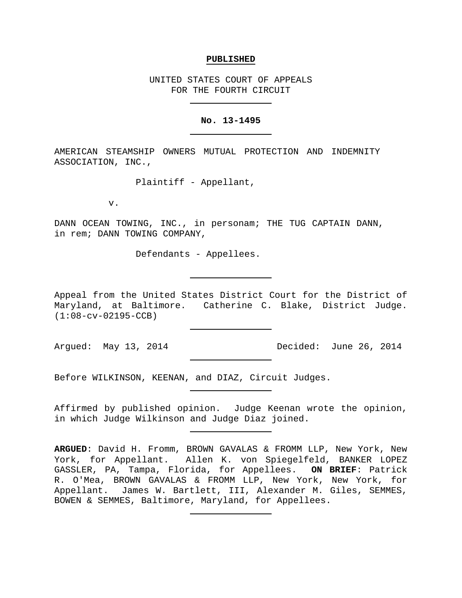#### **PUBLISHED**

UNITED STATES COURT OF APPEALS FOR THE FOURTH CIRCUIT

## **No. 13-1495**

AMERICAN STEAMSHIP OWNERS MUTUAL PROTECTION AND INDEMNITY ASSOCIATION, INC.,

Plaintiff - Appellant,

v.

DANN OCEAN TOWING, INC., in personam; THE TUG CAPTAIN DANN, in rem; DANN TOWING COMPANY,

Defendants - Appellees.

Appeal from the United States District Court for the District of Maryland, at Baltimore. Catherine C. Blake, District Judge. (1:08-cv-02195-CCB)

Argued: May 13, 2014 Decided: June 26, 2014

Before WILKINSON, KEENAN, and DIAZ, Circuit Judges.

Affirmed by published opinion. Judge Keenan wrote the opinion, in which Judge Wilkinson and Judge Diaz joined.

**ARGUED**: David H. Fromm, BROWN GAVALAS & FROMM LLP, New York, New York, for Appellant. Allen K. von Spiegelfeld, BANKER LOPEZ GASSLER, PA, Tampa, Florida, for Appellees. **ON BRIEF**: Patrick R. O'Mea, BROWN GAVALAS & FROMM LLP, New York, New York, for Appellant. James W. Bartlett, III, Alexander M. Giles, SEMMES, BOWEN & SEMMES, Baltimore, Maryland, for Appellees.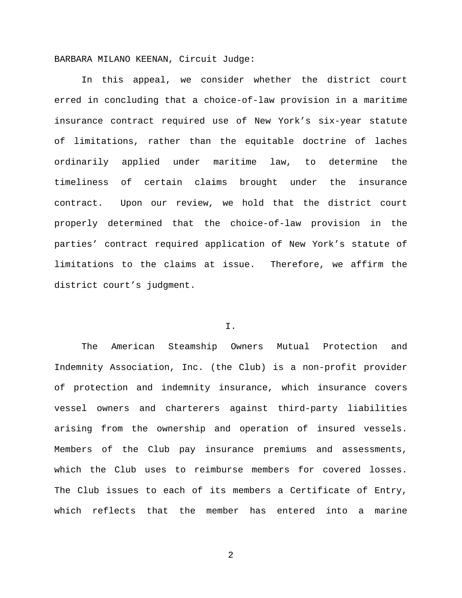BARBARA MILANO KEENAN, Circuit Judge:

In this appeal, we consider whether the district court erred in concluding that a choice-of-law provision in a maritime insurance contract required use of New York's six-year statute of limitations, rather than the equitable doctrine of laches ordinarily applied under maritime law, to determine the timeliness of certain claims brought under the insurance contract. Upon our review, we hold that the district court properly determined that the choice-of-law provision in the parties' contract required application of New York's statute of limitations to the claims at issue. Therefore, we affirm the district court's judgment.

# I.

The American Steamship Owners Mutual Protection and Indemnity Association, Inc. (the Club) is a non-profit provider of protection and indemnity insurance, which insurance covers vessel owners and charterers against third-party liabilities arising from the ownership and operation of insured vessels. Members of the Club pay insurance premiums and assessments, which the Club uses to reimburse members for covered losses. The Club issues to each of its members a Certificate of Entry, which reflects that the member has entered into a marine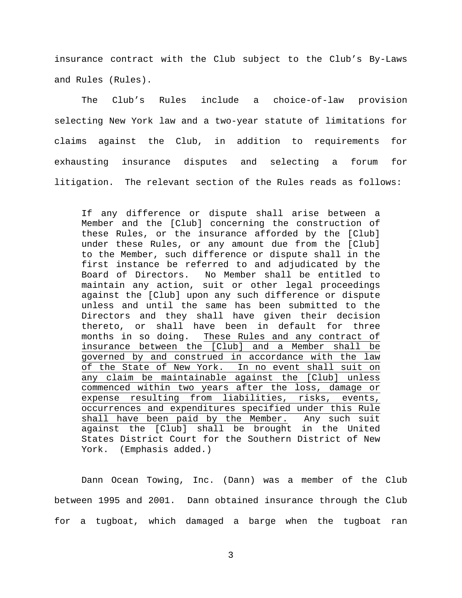insurance contract with the Club subject to the Club's By-Laws and Rules (Rules).

The Club's Rules include a choice-of-law provision selecting New York law and a two-year statute of limitations for claims against the Club, in addition to requirements for exhausting insurance disputes and selecting a forum for litigation. The relevant section of the Rules reads as follows:

If any difference or dispute shall arise between a Member and the [Club] concerning the construction of these Rules, or the insurance afforded by the [Club] under these Rules, or any amount due from the [Club] to the Member, such difference or dispute shall in the first instance be referred to and adjudicated by the Board of Directors. No Member shall be entitled to maintain any action, suit or other legal proceedings against the [Club] upon any such difference or dispute unless and until the same has been submitted to the Directors and they shall have given their decision thereto, or shall have been in default for three<br>months in so doing. These Rules and any contract of These Rules and any contract of insurance between the [Club] and a Member shall be governed by and construed in accordance with the law of the State of New York. In no event shall suit on any claim be maintainable against the [Club] unless commenced within two years after the loss, damage or expense resulting from liabilities, risks, events, occurrences and expenditures specified under this Rule shall have been paid by the Member. Any such suit against the [Club] shall be brought in the United States District Court for the Southern District of New York. (Emphasis added.)

Dann Ocean Towing, Inc. (Dann) was a member of the Club between 1995 and 2001. Dann obtained insurance through the Club for a tugboat, which damaged a barge when the tugboat ran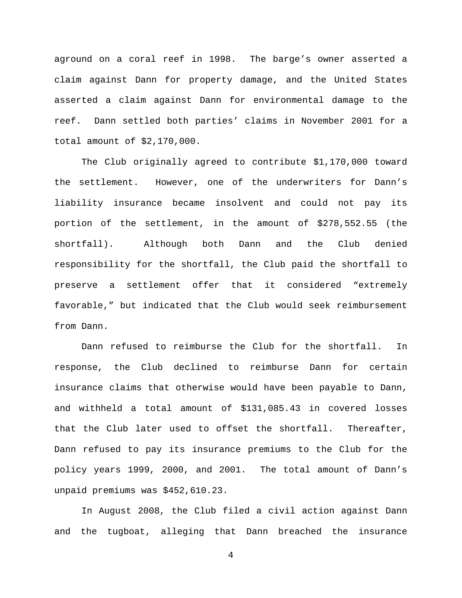aground on a coral reef in 1998. The barge's owner asserted a claim against Dann for property damage, and the United States asserted a claim against Dann for environmental damage to the reef. Dann settled both parties' claims in November 2001 for a total amount of \$2,170,000.

The Club originally agreed to contribute \$1,170,000 toward the settlement. However, one of the underwriters for Dann's liability insurance became insolvent and could not pay its portion of the settlement, in the amount of \$278,552.55 (the shortfall). Although both Dann and the Club denied responsibility for the shortfall, the Club paid the shortfall to preserve a settlement offer that it considered "extremely favorable," but indicated that the Club would seek reimbursement from Dann.

Dann refused to reimburse the Club for the shortfall. In response, the Club declined to reimburse Dann for certain insurance claims that otherwise would have been payable to Dann, and withheld a total amount of \$131,085.43 in covered losses that the Club later used to offset the shortfall. Thereafter, Dann refused to pay its insurance premiums to the Club for the policy years 1999, 2000, and 2001. The total amount of Dann's unpaid premiums was \$452,610.23.

In August 2008, the Club filed a civil action against Dann and the tugboat, alleging that Dann breached the insurance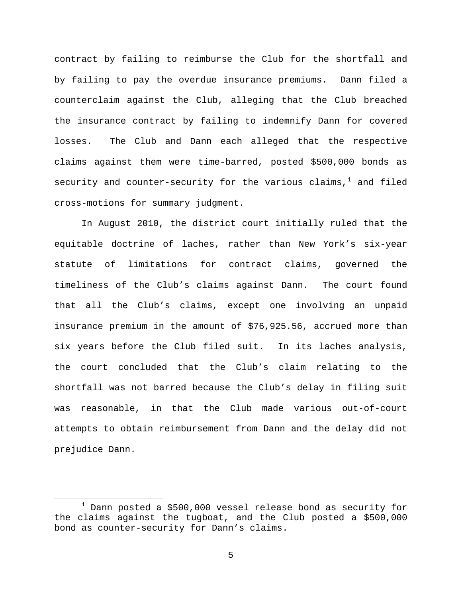contract by failing to reimburse the Club for the shortfall and by failing to pay the overdue insurance premiums. Dann filed a counterclaim against the Club, alleging that the Club breached the insurance contract by failing to indemnify Dann for covered losses. The Club and Dann each alleged that the respective claims against them were time-barred, posted \$500,000 bonds as security and counter-security for the various claims, $<sup>1</sup>$  $<sup>1</sup>$  $<sup>1</sup>$  and filed</sup> cross-motions for summary judgment.

In August 2010, the district court initially ruled that the equitable doctrine of laches, rather than New York's six-year statute of limitations for contract claims, governed the timeliness of the Club's claims against Dann. The court found that all the Club's claims, except one involving an unpaid insurance premium in the amount of \$76,925.56, accrued more than six years before the Club filed suit. In its laches analysis, the court concluded that the Club's claim relating to the shortfall was not barred because the Club's delay in filing suit was reasonable, in that the Club made various out-of-court attempts to obtain reimbursement from Dann and the delay did not prejudice Dann.

<span id="page-4-0"></span> $1$  Dann posted a \$500,000 vessel release bond as security for the claims against the tugboat, and the Club posted a \$500,000 bond as counter-security for Dann's claims.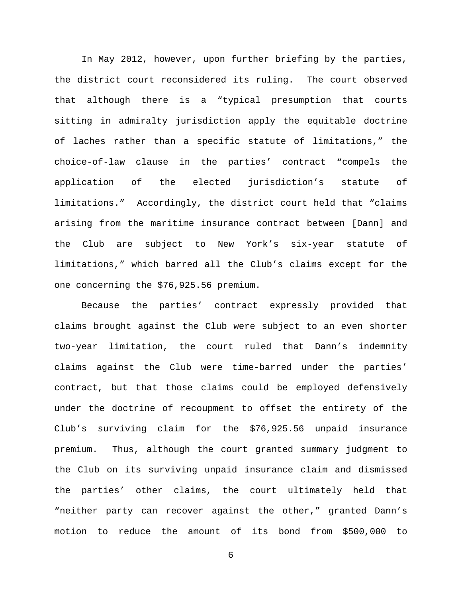In May 2012, however, upon further briefing by the parties, the district court reconsidered its ruling. The court observed that although there is a "typical presumption that courts sitting in admiralty jurisdiction apply the equitable doctrine of laches rather than a specific statute of limitations," the choice-of-law clause in the parties' contract "compels the application of the elected jurisdiction's statute of limitations." Accordingly, the district court held that "claims arising from the maritime insurance contract between [Dann] and the Club are subject to New York's six-year statute of limitations," which barred all the Club's claims except for the one concerning the \$76,925.56 premium.

Because the parties' contract expressly provided that claims brought against the Club were subject to an even shorter two-year limitation, the court ruled that Dann's indemnity claims against the Club were time-barred under the parties' contract, but that those claims could be employed defensively under the doctrine of recoupment to offset the entirety of the Club's surviving claim for the \$76,925.56 unpaid insurance premium. Thus, although the court granted summary judgment to the Club on its surviving unpaid insurance claim and dismissed the parties' other claims, the court ultimately held that "neither party can recover against the other," granted Dann's motion to reduce the amount of its bond from \$500,000 to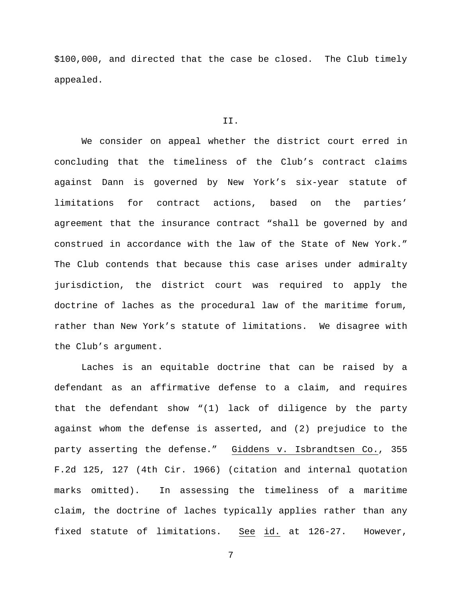\$100,000, and directed that the case be closed. The Club timely appealed.

## II.

We consider on appeal whether the district court erred in concluding that the timeliness of the Club's contract claims against Dann is governed by New York's six-year statute of limitations for contract actions, based on the parties' agreement that the insurance contract "shall be governed by and construed in accordance with the law of the State of New York." The Club contends that because this case arises under admiralty jurisdiction, the district court was required to apply the doctrine of laches as the procedural law of the maritime forum, rather than New York's statute of limitations. We disagree with the Club's argument.

Laches is an equitable doctrine that can be raised by a defendant as an affirmative defense to a claim, and requires that the defendant show "(1) lack of diligence by the party against whom the defense is asserted, and (2) prejudice to the party asserting the defense." Giddens v. Isbrandtsen Co., 355 F.2d 125, 127 (4th Cir. 1966) (citation and internal quotation marks omitted). In assessing the timeliness of a maritime claim, the doctrine of laches typically applies rather than any fixed statute of limitations. See id. at 126-27. However,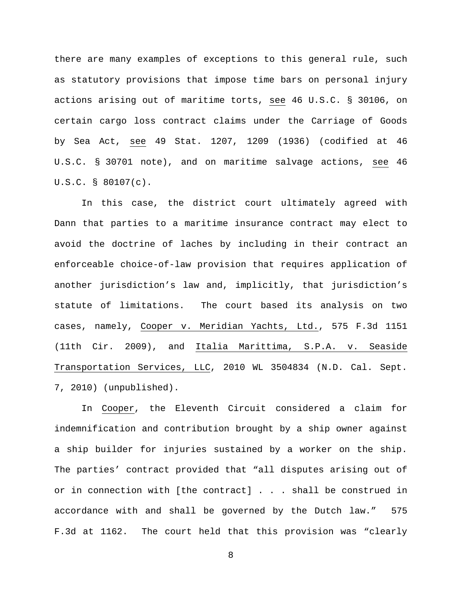there are many examples of exceptions to this general rule, such as statutory provisions that impose time bars on personal injury actions arising out of maritime torts, see 46 U.S.C. § 30106, on certain cargo loss contract claims under the Carriage of Goods by Sea Act, see 49 Stat. 1207, 1209 (1936) (codified at 46 U.S.C. § 30701 note), and on maritime salvage actions, see 46 U.S.C. § 80107(c).

In this case, the district court ultimately agreed with Dann that parties to a maritime insurance contract may elect to avoid the doctrine of laches by including in their contract an enforceable choice-of-law provision that requires application of another jurisdiction's law and, implicitly, that jurisdiction's statute of limitations. The court based its analysis on two cases, namely, Cooper v. Meridian Yachts, Ltd., 575 F.3d 1151 (11th Cir. 2009), and Italia Marittima, S.P.A. v. Seaside Transportation Services, LLC, 2010 WL 3504834 (N.D. Cal. Sept. 7, 2010) (unpublished).

In Cooper, the Eleventh Circuit considered a claim for indemnification and contribution brought by a ship owner against a ship builder for injuries sustained by a worker on the ship. The parties' contract provided that "all disputes arising out of or in connection with [the contract] . . . shall be construed in accordance with and shall be governed by the Dutch law." 575 F.3d at 1162. The court held that this provision was "clearly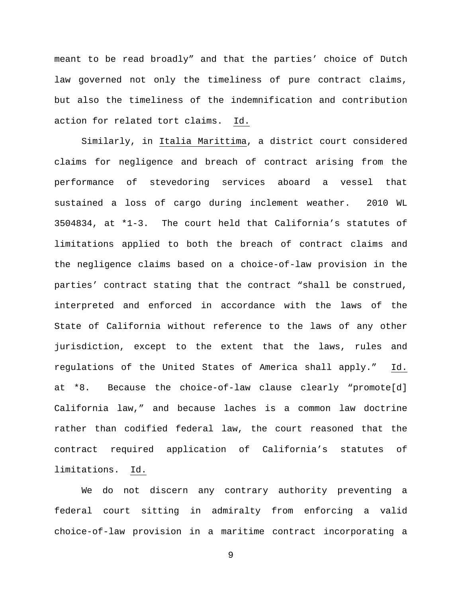meant to be read broadly" and that the parties' choice of Dutch law governed not only the timeliness of pure contract claims, but also the timeliness of the indemnification and contribution action for related tort claims. Id.

Similarly, in Italia Marittima, a district court considered claims for negligence and breach of contract arising from the performance of stevedoring services aboard a vessel that sustained a loss of cargo during inclement weather. 2010 WL 3504834, at \*1-3. The court held that California's statutes of limitations applied to both the breach of contract claims and the negligence claims based on a choice-of-law provision in the parties' contract stating that the contract "shall be construed, interpreted and enforced in accordance with the laws of the State of California without reference to the laws of any other jurisdiction, except to the extent that the laws, rules and regulations of the United States of America shall apply." Id. at \*8. Because the choice-of-law clause clearly "promote[d] California law," and because laches is a common law doctrine rather than codified federal law, the court reasoned that the contract required application of California's statutes of limitations. Id.

We do not discern any contrary authority preventing a federal court sitting in admiralty from enforcing a valid choice-of-law provision in a maritime contract incorporating a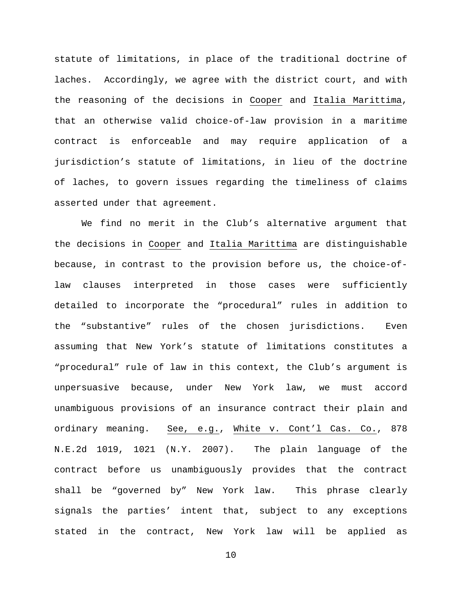statute of limitations, in place of the traditional doctrine of laches. Accordingly, we agree with the district court, and with the reasoning of the decisions in Cooper and Italia Marittima, that an otherwise valid choice-of-law provision in a maritime contract is enforceable and may require application of a jurisdiction's statute of limitations, in lieu of the doctrine of laches, to govern issues regarding the timeliness of claims asserted under that agreement.

We find no merit in the Club's alternative argument that the decisions in Cooper and Italia Marittima are distinguishable because, in contrast to the provision before us, the choice-oflaw clauses interpreted in those cases were sufficiently detailed to incorporate the "procedural" rules in addition to the "substantive" rules of the chosen jurisdictions. Even assuming that New York's statute of limitations constitutes a "procedural" rule of law in this context, the Club's argument is unpersuasive because, under New York law, we must accord unambiguous provisions of an insurance contract their plain and ordinary meaning. See, e.g., White v. Cont'l Cas. Co., 878 N.E.2d 1019, 1021 (N.Y. 2007). The plain language of the contract before us unambiguously provides that the contract shall be "governed by" New York law. This phrase clearly signals the parties' intent that, subject to any exceptions stated in the contract, New York law will be applied as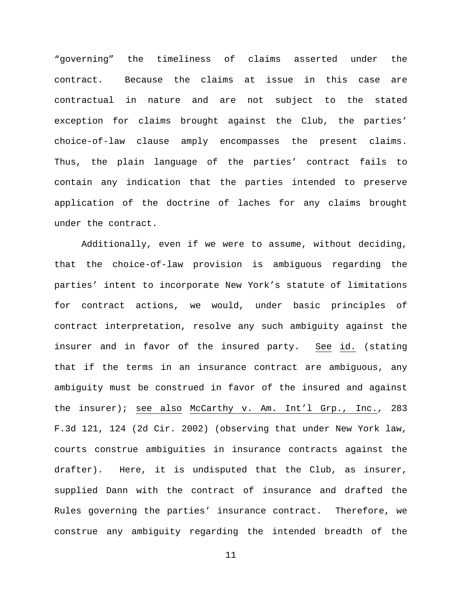"governing" the timeliness of claims asserted under the contract. Because the claims at issue in this case are contractual in nature and are not subject to the stated exception for claims brought against the Club, the parties' choice-of-law clause amply encompasses the present claims. Thus, the plain language of the parties' contract fails to contain any indication that the parties intended to preserve application of the doctrine of laches for any claims brought under the contract.

Additionally, even if we were to assume, without deciding, that the choice-of-law provision is ambiguous regarding the parties' intent to incorporate New York's statute of limitations for contract actions, we would, under basic principles of contract interpretation, resolve any such ambiguity against the insurer and in favor of the insured party. See id. (stating that if the terms in an insurance contract are ambiguous, any ambiguity must be construed in favor of the insured and against the insurer); see also McCarthy v. Am. Int'l Grp., Inc., 283 F.3d 121, 124 (2d Cir. 2002) (observing that under New York law, courts construe ambiguities in insurance contracts against the drafter). Here, it is undisputed that the Club, as insurer, supplied Dann with the contract of insurance and drafted the Rules governing the parties' insurance contract. Therefore, we construe any ambiguity regarding the intended breadth of the